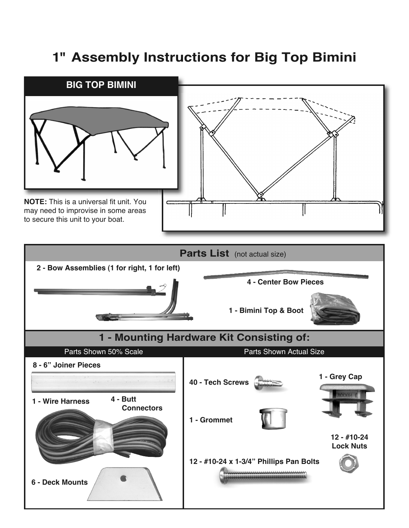## **1" Assembly Instructions for Big Top Bimini**

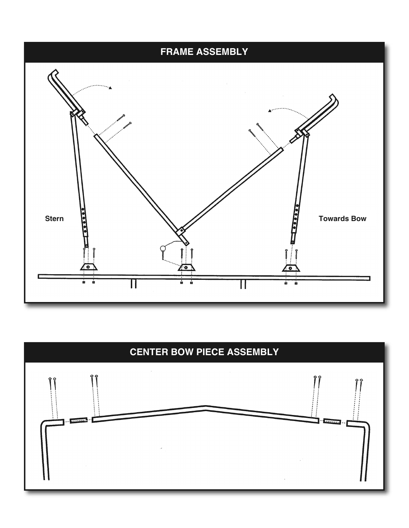

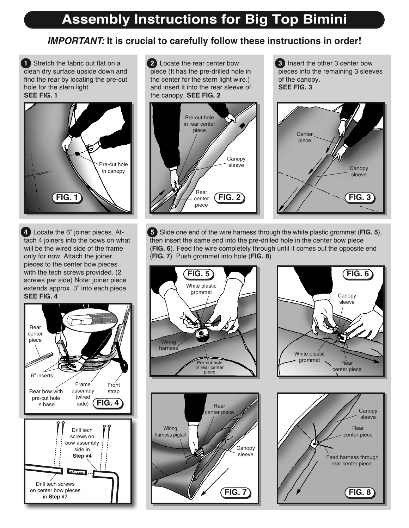## **Assembly Instructions for Big Top Bimini**

## **IMPORTANT: It is crucial to carefully follow these instructions in order!**

**1** Stretch the fabric out flat on a clean dry surface upside down and find the rear by locating the pre-cut hole for the stern light. **SEE FIG. 1**



**4** Locate the 6" joiner pieces. Attach 4 joiners into the bows on what will be the wired side of the frame only for now. Attach the joiner pieces to the center bow pieces with the tech screws provided. (2 screws per side) Note: joiner piece extends approx. 3" into each piece. **SEE FIG. 4**



**2** Locate the rear center bow piece (It has the pre-drilled hole in the center for the stern light wire.) and insert it into the rear sleeve of the canopy. **SEE FIG. 2**



**3** Insert the other 3 center bow pieces into the remaining 3 sleeves

of the canopy. **SEE FIG. 3**

**5** Slide one end of the wire harness through the white plastic grommet (**FIG. 5**), then insert the same end into the pre-drilled hole in the center bow piece (**FIG. 6**). Feed the wire completely through until it comes out the opposite end (**FIG. 7**). Push grommet into hole (**FIG. 8**).